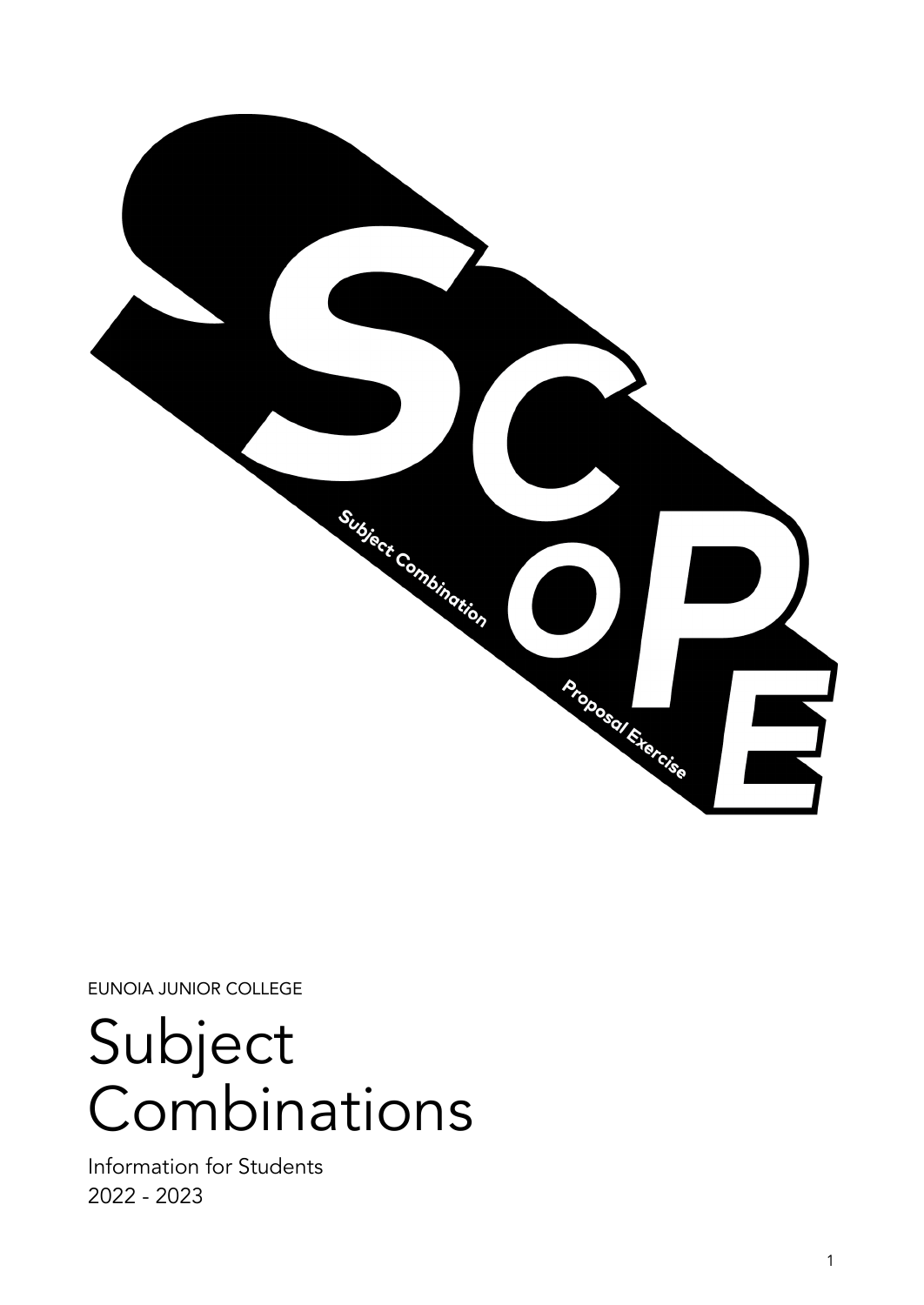

EUNOIA JUNIOR COLLEGE

Subject Combinations

Information for Students 2022 - 2023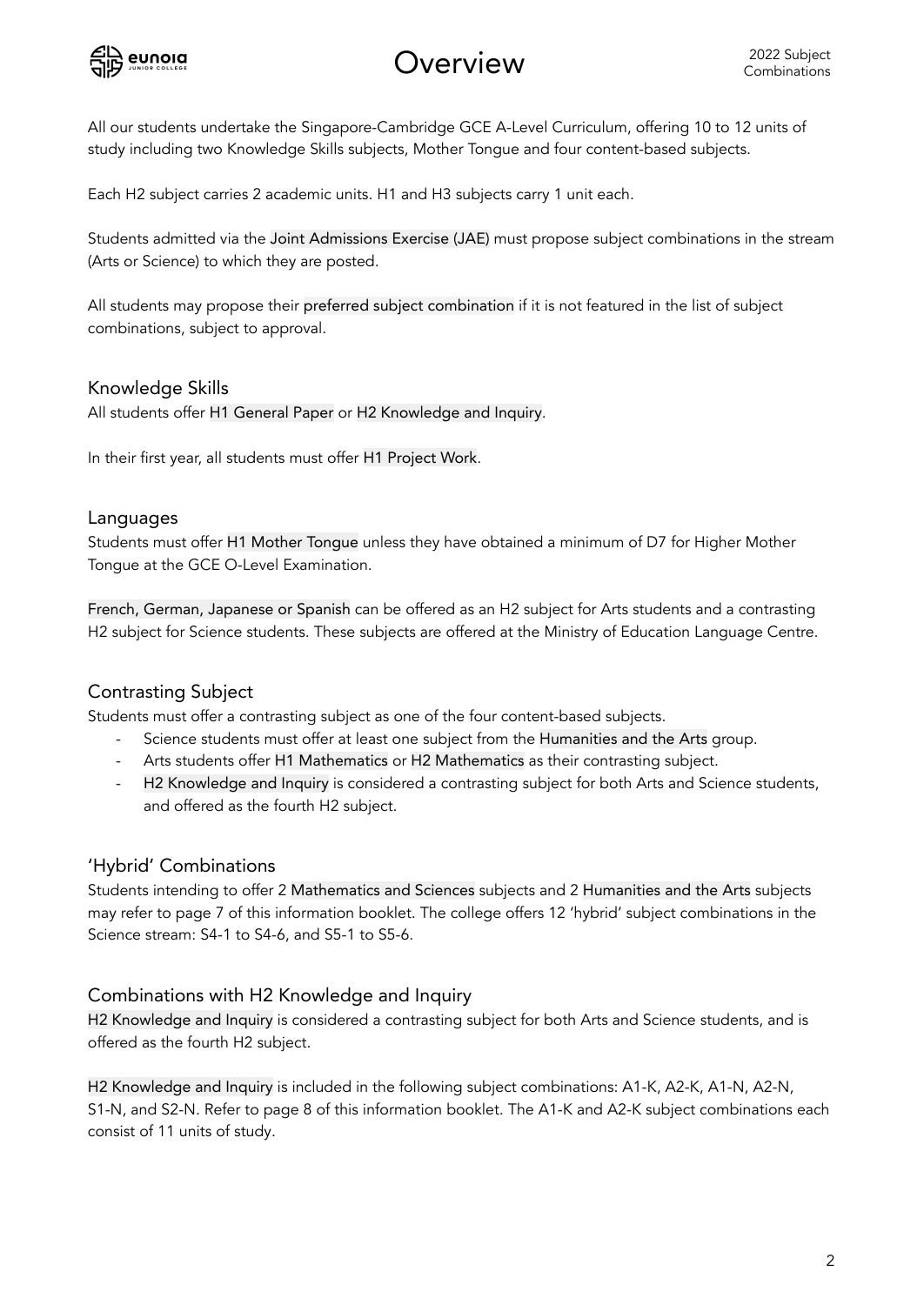

# Overview

All our students undertake the Singapore-Cambridge GCE A-Level Curriculum, offering 10 to 12 units of study including two Knowledge Skills subjects, Mother Tongue and four content-based subjects.

Each H2 subject carries 2 academic units. H1 and H3 subjects carry 1 unit each.

Students admitted via the Joint Admissions Exercise (JAE) must propose subject combinations in the stream (Arts or Science) to which they are posted.

All students may propose their preferred subject combination if it is not featured in the list of subject combinations, subject to approval.

#### Knowledge Skills

All students offer H1 General Paper or H2 Knowledge and Inquiry.

In their first year, all students must offer H1 Project Work.

#### Languages

Students must offer H1 Mother Tongue unless they have obtained a minimum of D7 for Higher Mother Tongue at the GCE O-Level Examination.

French, German, Japanese or Spanish can be offered as an H2 subject for Arts students and a contrasting H2 subject for Science students. These subjects are offered at the Ministry of Education Language Centre.

# Contrasting Subject

Students must offer a contrasting subject as one of the four content-based subjects.

- Science students must offer at least one subject from the Humanities and the Arts group.
- Arts students offer H1 Mathematics or H2 Mathematics as their contrasting subject.
- H2 Knowledge and Inquiry is considered a contrasting subject for both Arts and Science students, and offered as the fourth H2 subject.

# 'Hybrid' Combinations

Students intending to offer 2 Mathematics and Sciences subjects and 2 Humanities and the Arts subjects may refer to page 7 of this information booklet. The college offers 12 'hybrid' subject combinations in the Science stream: S4-1 to S4-6, and S5-1 to S5-6.

# Combinations with H2 Knowledge and Inquiry

H2 Knowledge and Inquiry is considered a contrasting subject for both Arts and Science students, and is offered as the fourth H2 subject.

H2 Knowledge and Inquiry is included in the following subject combinations: A1-K, A2-K, A1-N, A2-N, S1-N, and S2-N. Refer to page 8 of this information booklet. The A1-K and A2-K subject combinations each consist of 11 units of study.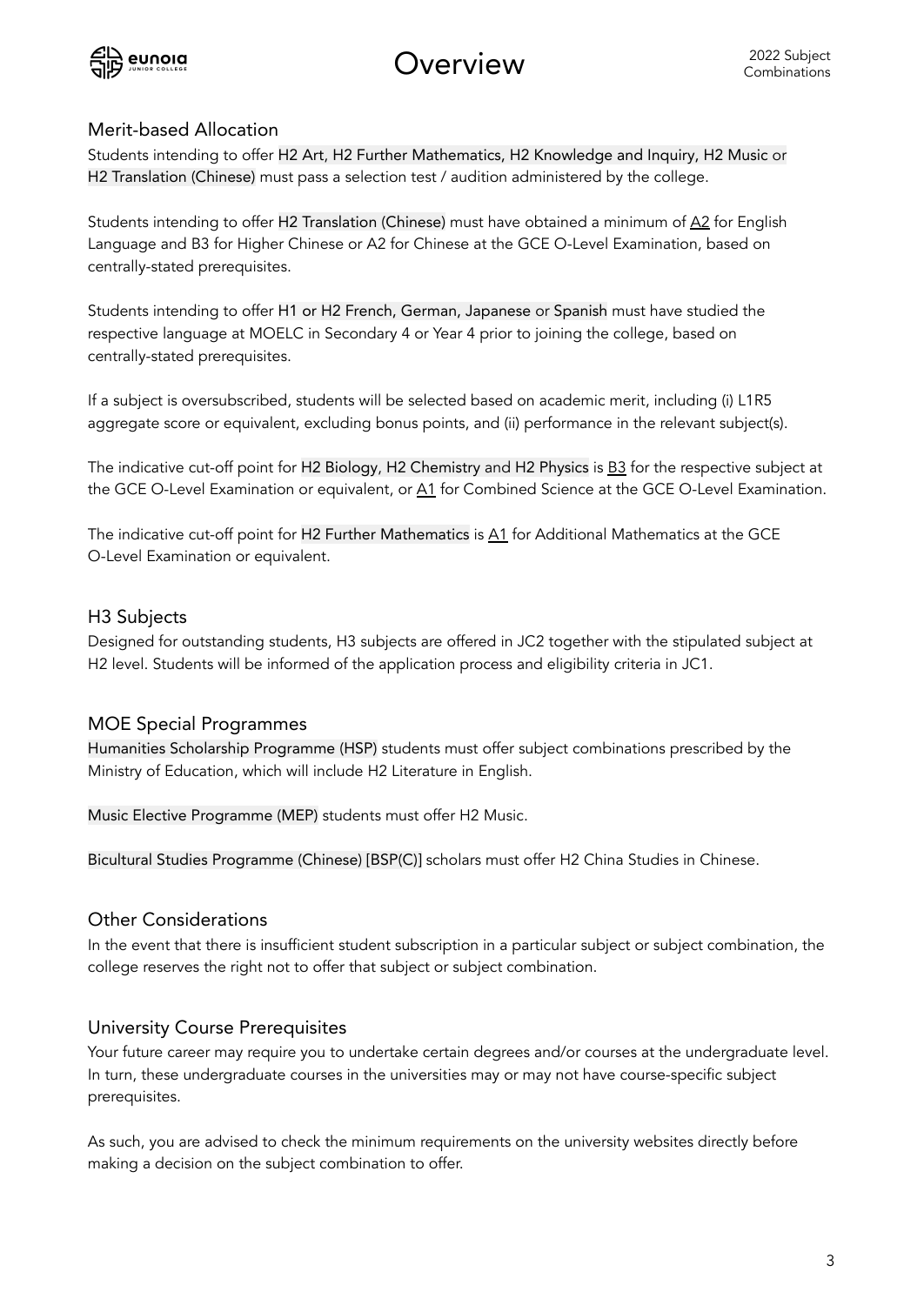

Overview

#### Merit-based Allocation

Students intending to offer H2 Art, H2 Further Mathematics, H2 Knowledge and Inquiry, H2 Music or H2 Translation (Chinese) must pass a selection test / audition administered by the college.

Students intending to offer H2 Translation (Chinese) must have obtained a minimum of  $\Delta 2$  for English Language and B3 for Higher Chinese or A2 for Chinese at the GCE O-Level Examination, based on centrally-stated prerequisites.

Students intending to offer H1 or H2 French, German, Japanese or Spanish must have studied the respective language at MOELC in Secondary 4 or Year 4 prior to joining the college, based on centrally-stated prerequisites.

If a subject is oversubscribed, students will be selected based on academic merit, including (i) L1R5 aggregate score or equivalent, excluding bonus points, and (ii) performance in the relevant subject(s).

The indicative cut-off point for H2 Biology, H2 Chemistry and H2 Physics is B3 for the respective subject at the GCE O-Level Examination or equivalent, or A1 for Combined Science at the GCE O-Level Examination.

The indicative cut-off point for H2 Further Mathematics is A1 for Additional Mathematics at the GCE O-Level Examination or equivalent.

#### H3 Subjects

Designed for outstanding students, H3 subjects are offered in JC2 together with the stipulated subject at H2 level. Students will be informed of the application process and eligibility criteria in JC1.

# MOE Special Programmes

Humanities Scholarship Programme (HSP) students must offer subject combinations prescribed by the Ministry of Education, which will include H2 Literature in English.

Music Elective Programme (MEP) students must offer H2 Music.

Bicultural Studies Programme (Chinese) [BSP(C)] scholars must offer H2 China Studies in Chinese.

#### Other Considerations

In the event that there is insufficient student subscription in a particular subject or subject combination, the college reserves the right not to offer that subject or subject combination.

#### University Course Prerequisites

Your future career may require you to undertake certain degrees and/or courses at the undergraduate level. In turn, these undergraduate courses in the universities may or may not have course-specific subject prerequisites.

As such, you are advised to check the minimum requirements on the university websites directly before making a decision on the subject combination to offer.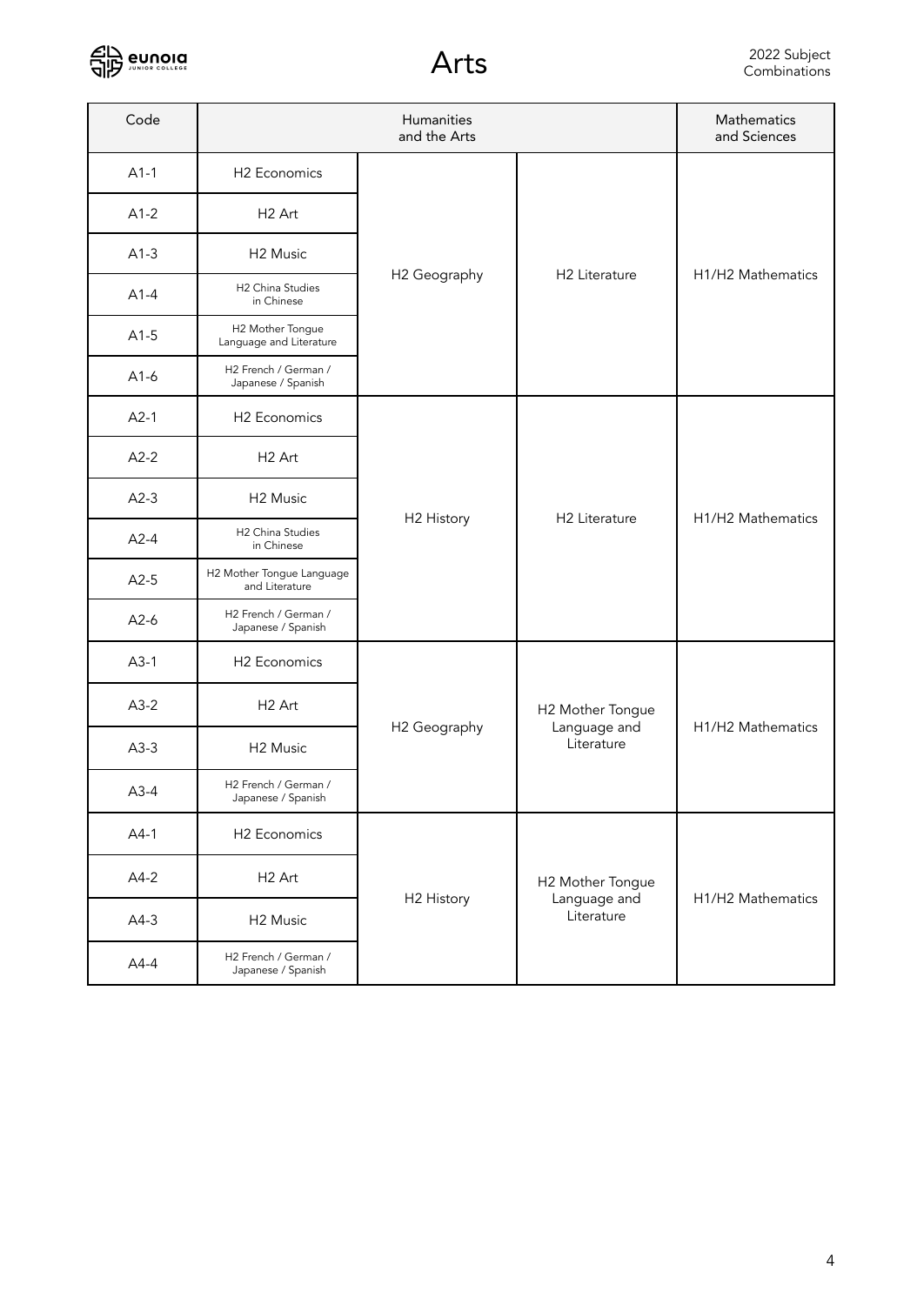

| Code   | Humanities<br>and the Arts                  |              |                                                | Mathematics<br>and Sciences |
|--------|---------------------------------------------|--------------|------------------------------------------------|-----------------------------|
| $A1-1$ | H <sub>2</sub> Economics                    |              |                                                |                             |
| $A1-2$ | H <sub>2</sub> Art                          | H2 Geography | H2 Literature                                  | H1/H2 Mathematics           |
| $A1-3$ | H <sub>2</sub> Music                        |              |                                                |                             |
| $A1-4$ | H2 China Studies<br>in Chinese              |              |                                                |                             |
| $A1-5$ | H2 Mother Tongue<br>Language and Literature |              |                                                |                             |
| $A1-6$ | H2 French / German /<br>Japanese / Spanish  |              |                                                |                             |
| $A2-1$ | H <sub>2</sub> Economics                    | H2 History   | H <sub>2</sub> Literature                      | H1/H2 Mathematics           |
| $A2-2$ | H <sub>2</sub> Art                          |              |                                                |                             |
| $A2-3$ | H <sub>2</sub> Music                        |              |                                                |                             |
| $A2-4$ | H2 China Studies<br>in Chinese              |              |                                                |                             |
| $A2-5$ | H2 Mother Tongue Language<br>and Literature |              |                                                |                             |
| $A2-6$ | H2 French / German /<br>Japanese / Spanish  |              |                                                |                             |
| $A3-1$ | H <sub>2</sub> Economics                    |              | H2 Mother Tongue<br>Language and<br>Literature | H1/H2 Mathematics           |
| $A3-2$ | H <sub>2</sub> Art                          | H2 Geography |                                                |                             |
| $A3-3$ | H <sub>2</sub> Music                        |              |                                                |                             |
| $A3-4$ | H2 French / German /<br>Japanese / Spanish  |              |                                                |                             |
| $A4-1$ | H2 Economics                                | H2 History   | H2 Mother Tongue<br>Language and<br>Literature | H1/H2 Mathematics           |
| $A4-2$ | H <sub>2</sub> Art                          |              |                                                |                             |
| $A4-3$ | H <sub>2</sub> Music                        |              |                                                |                             |
| $A4-4$ | H2 French / German /<br>Japanese / Spanish  |              |                                                |                             |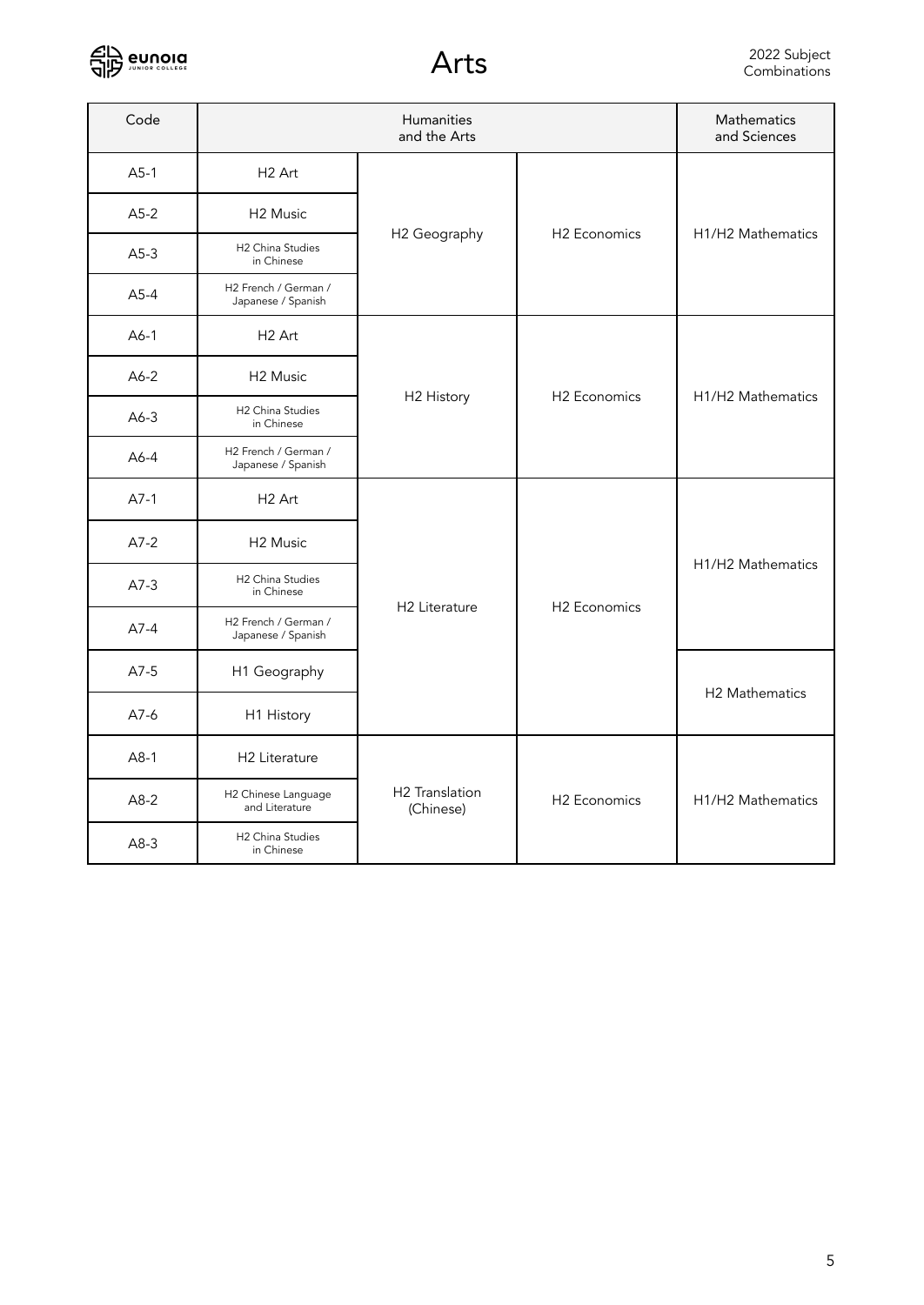

| Code   | Humanities<br>and the Arts                 |                             |                          | Mathematics<br>and Sciences                |
|--------|--------------------------------------------|-----------------------------|--------------------------|--------------------------------------------|
| $A5-1$ | H <sub>2</sub> Art                         | H2 Geography                | H2 Economics             |                                            |
| $A5-2$ | H <sub>2</sub> Music                       |                             |                          | H <sub>1</sub> /H <sub>2</sub> Mathematics |
| $A5-3$ | H2 China Studies<br>in Chinese             |                             |                          |                                            |
| $A5-4$ | H2 French / German /<br>Japanese / Spanish |                             |                          |                                            |
| $A6-1$ | H <sub>2</sub> Art                         | H2 History                  | H <sub>2</sub> Economics | H1/H2 Mathematics                          |
| $A6-2$ | H <sub>2</sub> Music                       |                             |                          |                                            |
| $A6-3$ | H2 China Studies<br>in Chinese             |                             |                          |                                            |
| $A6-4$ | H2 French / German /<br>Japanese / Spanish |                             |                          |                                            |
| $A7-1$ | H <sub>2</sub> Art                         | H <sub>2</sub> Literature   | <b>H2</b> Economics      | H1/H2 Mathematics                          |
| $A7-2$ | H <sub>2</sub> Music                       |                             |                          |                                            |
| $A7-3$ | H2 China Studies<br>in Chinese             |                             |                          |                                            |
| $A7-4$ | H2 French / German /<br>Japanese / Spanish |                             |                          |                                            |
| $A7-5$ | H1 Geography                               |                             |                          | H2 Mathematics                             |
| $A7-6$ | H1 History                                 |                             |                          |                                            |
| $A8-1$ | H2 Literature                              | H2 Translation<br>(Chinese) | H <sub>2</sub> Economics | H <sub>1</sub> /H <sub>2</sub> Mathematics |
| $A8-2$ | H2 Chinese Language<br>and Literature      |                             |                          |                                            |
| $A8-3$ | H2 China Studies<br>in Chinese             |                             |                          |                                            |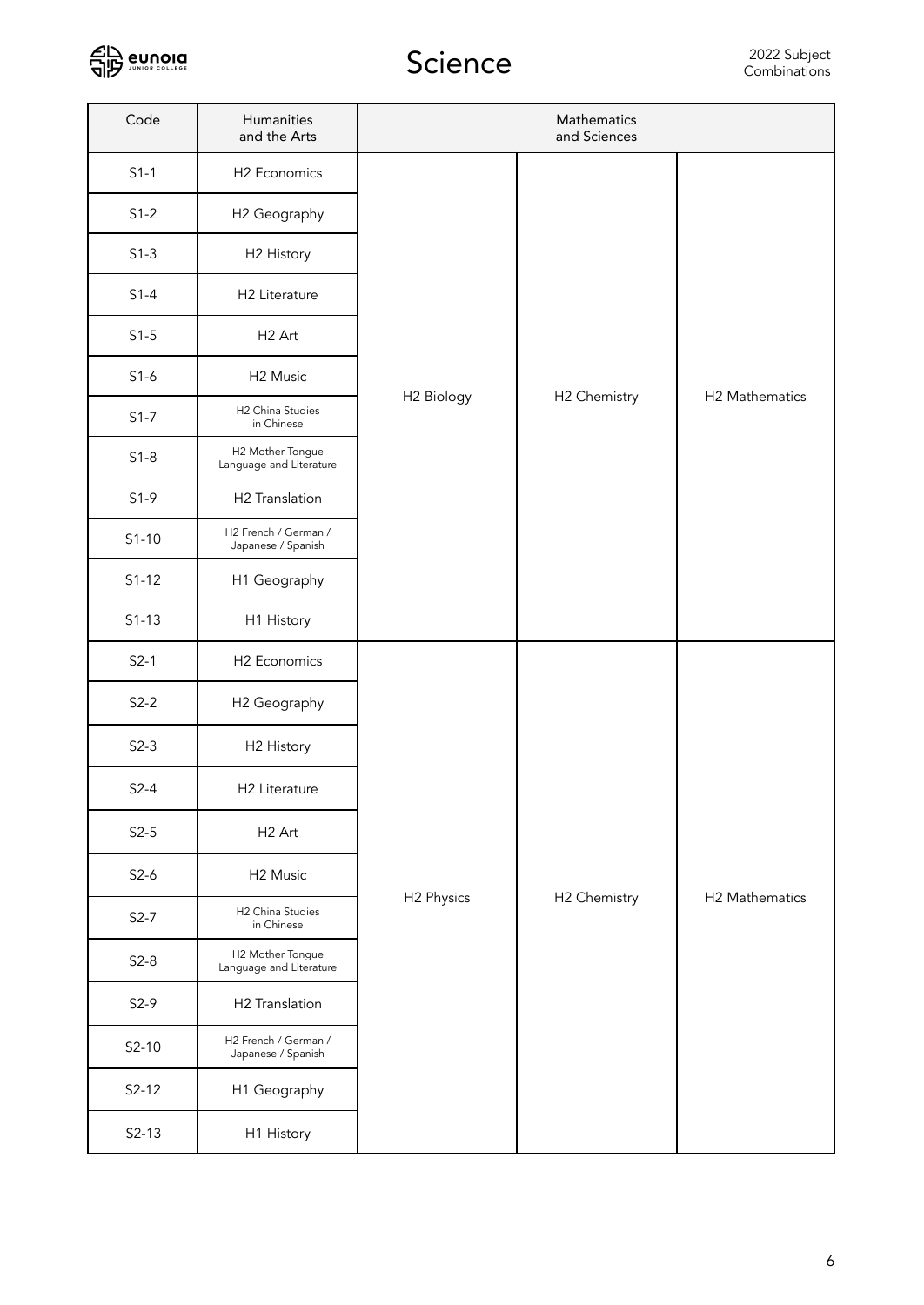

| Code    | Humanities<br>and the Arts                  | Mathematics<br>and Sciences |              |                |
|---------|---------------------------------------------|-----------------------------|--------------|----------------|
| $S1-1$  | H2 Economics                                |                             | H2 Chemistry |                |
| $S1-2$  | H2 Geography                                | H <sub>2</sub> Biology      |              |                |
| $S1-3$  | H2 History                                  |                             |              |                |
| $S1-4$  | H2 Literature                               |                             |              | H2 Mathematics |
| $S1-5$  | H <sub>2</sub> Art                          |                             |              |                |
| $S1-6$  | H <sub>2</sub> Music                        |                             |              |                |
| $S1-7$  | H2 China Studies<br>in Chinese              |                             |              |                |
| $S1-8$  | H2 Mother Tongue<br>Language and Literature |                             |              |                |
| $S1-9$  | H2 Translation                              |                             |              |                |
| $S1-10$ | H2 French / German /<br>Japanese / Spanish  |                             |              |                |
| $S1-12$ | H1 Geography                                |                             |              |                |
| $S1-13$ | H1 History                                  |                             |              |                |
| $S2-1$  | H2 Economics                                |                             | H2 Chemistry | H2 Mathematics |
| $S2-2$  | H <sub>2</sub> Geography                    |                             |              |                |
| $S2-3$  | H2 History                                  |                             |              |                |
| $S2-4$  | H2 Literature                               |                             |              |                |
| $S2-5$  | H <sub>2</sub> Art                          | H2 Physics                  |              |                |
| $S2-6$  | H <sub>2</sub> Music                        |                             |              |                |
| $S2-7$  | H2 China Studies<br>in Chinese              |                             |              |                |
| $S2-8$  | H2 Mother Tongue<br>Language and Literature |                             |              |                |
| $S2-9$  | H2 Translation                              |                             |              |                |
| $S2-10$ | H2 French / German /<br>Japanese / Spanish  |                             |              |                |
| $S2-12$ | H1 Geography                                |                             |              |                |
| $S2-13$ | H1 History                                  |                             |              |                |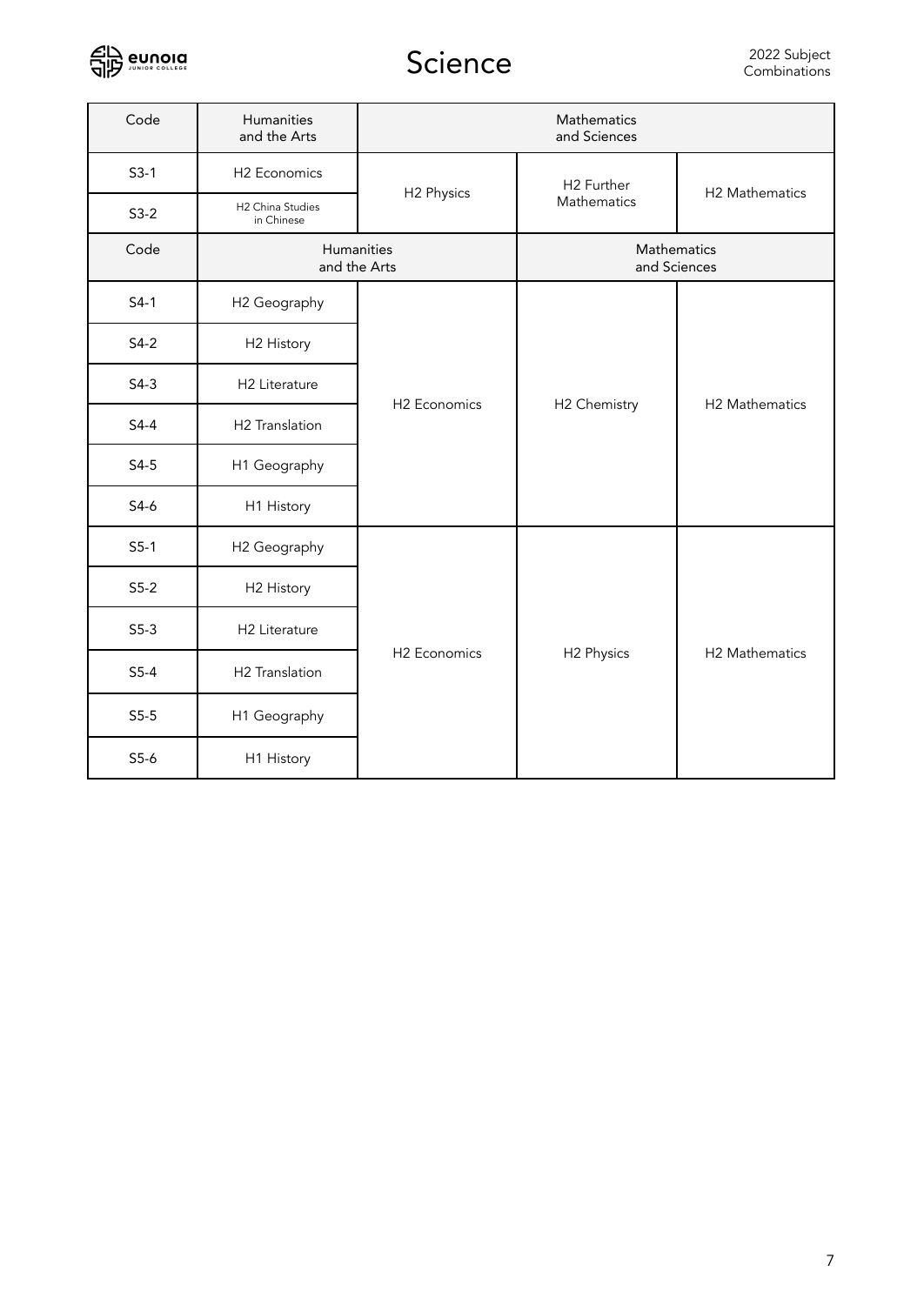

| Code   | Humanities<br>and the Arts     | Mathematics<br>and Sciences |                                       |                |
|--------|--------------------------------|-----------------------------|---------------------------------------|----------------|
| $S3-1$ | H2 Economics                   |                             | H <sub>2</sub> Further<br>Mathematics | H2 Mathematics |
| $S3-2$ | H2 China Studies<br>in Chinese | H2 Physics                  |                                       |                |
| Code   |                                | Humanities<br>and the Arts  | Mathematics<br>and Sciences           |                |
| $S4-1$ | H <sub>2</sub> Geography       | H <sub>2</sub> Economics    | H2 Chemistry                          | H2 Mathematics |
| $S4-2$ | H2 History                     |                             |                                       |                |
| $S4-3$ | H2 Literature                  |                             |                                       |                |
| $S4-4$ | H2 Translation                 |                             |                                       |                |
| $S4-5$ | H1 Geography                   |                             |                                       |                |
| $S4-6$ | H1 History                     |                             |                                       |                |
| $S5-1$ | H2 Geography                   | H <sub>2</sub> Economics    | H2 Physics                            | H2 Mathematics |
| $S5-2$ | H2 History                     |                             |                                       |                |
| $S5-3$ | H2 Literature                  |                             |                                       |                |
| $S5-4$ | H2 Translation                 |                             |                                       |                |
| $S5-5$ | H1 Geography                   |                             |                                       |                |
| $S5-6$ | H1 History                     |                             |                                       |                |